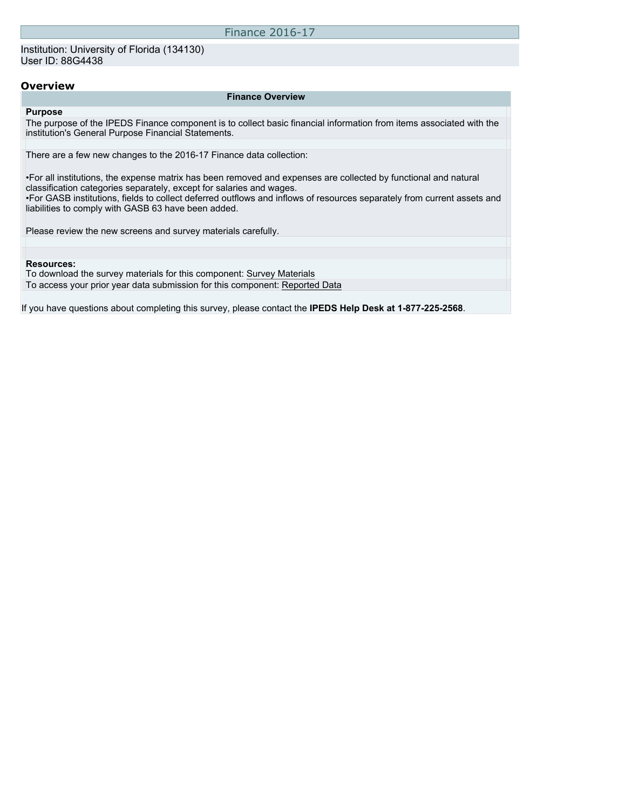#### **Overview**

#### **Finance Overview**

#### **Purpose**

The purpose of the IPEDS Finance component is to collect basic financial information from items associated with the institution's General Purpose Financial Statements.

There are a few new changes to the 2016-17 Finance data collection:

•For all institutions, the expense matrix has been removed and expenses are collected by functional and natural classification categories separately, except for salaries and wages. •For GASB institutions, fields to collect deferred outflows and inflows of resources separately from current assets and liabilities to comply with GASB 63 have been added.

Please review the new screens and survey materials carefully.

#### **Resources:**

To download the survey materials for this component: [Survey Materials](https://surveys.nces.ed.gov/ipeds/VisIndex.aspx) To access your prior year data submission for this component: [Reported Data](http://192.168.102.89/IPEDS/PriorYearDataRedirect.aspx?survey_id=5)

If you have questions about completing this survey, please contact the **IPEDS Help Desk at 1-877-225-2568**.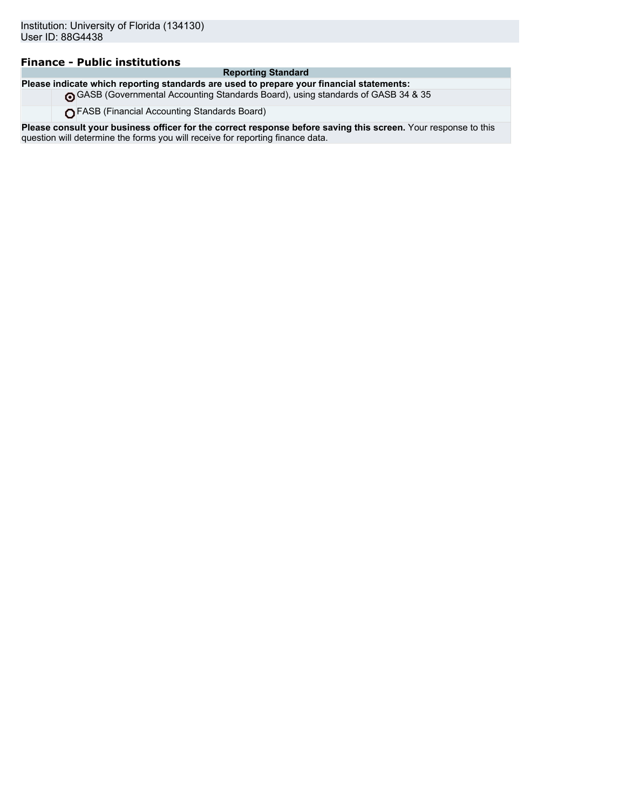### **Finance - Public institutions**

#### **Reporting Standard**

**Please indicate which reporting standards are used to prepare your financial statements:** GASB (Governmental Accounting Standards Board), using standards of GASB 34 & 35

FASB (Financial Accounting Standards Board)

**Please consult your business officer for the correct response before saving this screen.** Your response to this question will determine the forms you will receive for reporting finance data.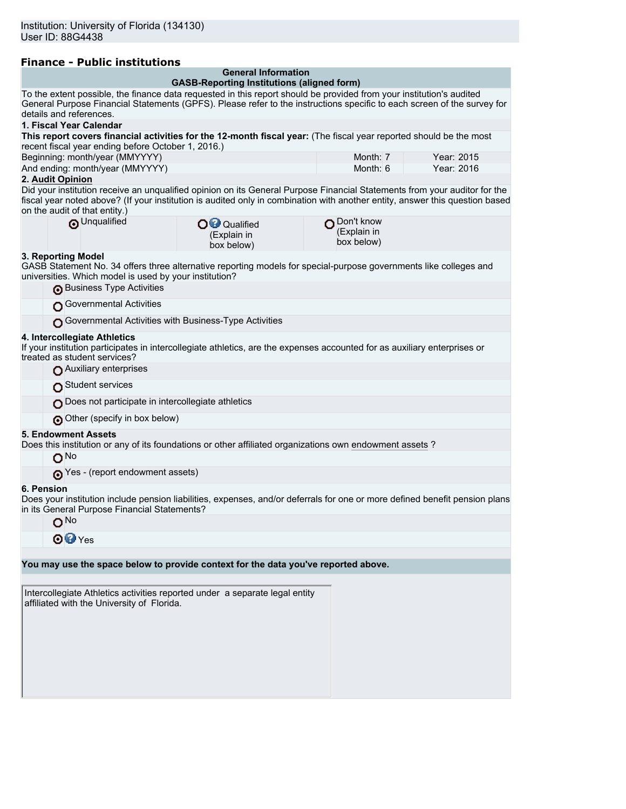|  | <b>Finance - Public institutions</b> |  |
|--|--------------------------------------|--|
|  |                                      |  |

| <b>General Information</b> |  |  |  |
|----------------------------|--|--|--|
|                            |  |  |  |

| <b>GASB-Reporting Institutions (aligned form)</b>                                                                                                                                                                                                         |            |            |  |  |
|-----------------------------------------------------------------------------------------------------------------------------------------------------------------------------------------------------------------------------------------------------------|------------|------------|--|--|
| To the extent possible, the finance data requested in this report should be provided from your institution's audited                                                                                                                                      |            |            |  |  |
| General Purpose Financial Statements (GPFS). Please refer to the instructions specific to each screen of the survey for<br>details and references.                                                                                                        |            |            |  |  |
| 1. Fiscal Year Calendar                                                                                                                                                                                                                                   |            |            |  |  |
| This report covers financial activities for the 12-month fiscal year: (The fiscal year reported should be the most                                                                                                                                        |            |            |  |  |
| recent fiscal year ending before October 1, 2016.)                                                                                                                                                                                                        |            |            |  |  |
| Beginning: month/year (MMYYYY)                                                                                                                                                                                                                            | Month: 7   | Year: 2015 |  |  |
| And ending: month/year (MMYYYY)                                                                                                                                                                                                                           | Month: $6$ | Year: 2016 |  |  |
| 2. Audit Opinion                                                                                                                                                                                                                                          |            |            |  |  |
| Did your institution receive an unqualified opinion on its General Purpose Financial Statements from your auditor for the<br>fiscal year noted above? (If your institution is audited only in combination with another entity, answer this question based |            |            |  |  |

| on the audit of that entity.) |  |  |
|-------------------------------|--|--|
|                               |  |  |

| <b>O</b> Unqualified<br>∩ Don't know<br>O <sup>O</sup> Qualified<br>(Explain in<br>(Explain in<br>box below)<br>box below) |  |
|----------------------------------------------------------------------------------------------------------------------------|--|

#### **3. Reporting Model**

GASB Statement No. 34 offers three alternative reporting models for special-purpose governments like colleges and universities. Which model is used by your institution? Business Type Activities

| <b>I</b> has the state of the state of the state of the state of the state of the state of the state of the state of the state of the state of the state of the state of the state of the state of the state of the state of the st |
|-------------------------------------------------------------------------------------------------------------------------------------------------------------------------------------------------------------------------------------|
| <b>O</b> Governmental Activities                                                                                                                                                                                                    |

Governmental Activities with Business-Type Activities

#### **4. Intercollegiate Athletics**

If your institution participates in intercollegiate athletics, are the expenses accounted for as auxiliary enterprises or treated as student services?

| 5. Endowment Assets                               |
|---------------------------------------------------|
| Other (specify in box below)                      |
| Does not participate in intercollegiate athletics |
| Student services                                  |
| Auxiliary enterprises                             |

Does this institution or any of its foundations or other affiliated organizations own endowment assets ?

No

**O**Yes - (report endowment assets)

#### **6. Pension**

Does your institution include pension liabilities, expenses, and/or deferrals for one or more defined benefit pension plans in its General Purpose Financial Statements?

| No  |
|-----|
| es. |

| Intercollegiate Athletics activities reported under a separate legal entity<br>affiliated with the University of Florida. |
|---------------------------------------------------------------------------------------------------------------------------|
|                                                                                                                           |
|                                                                                                                           |
|                                                                                                                           |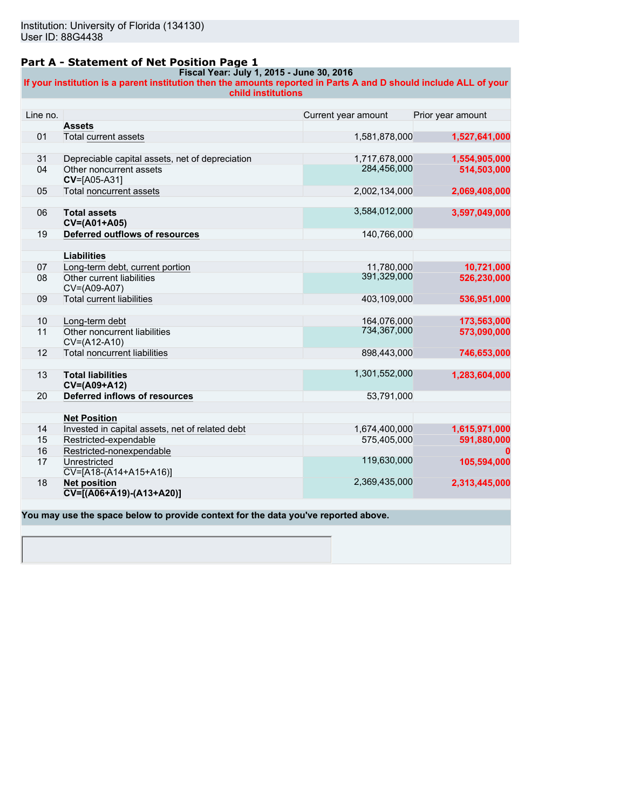### **Part A - Statement of Net Position Page 1**

#### **Fiscal Year: July 1, 2015 - June 30, 2016**

**If your institution is a parent institution then the amounts reported in Parts A and D should include ALL of your child institutions**

| Line no. |                                                 | Current year amount | Prior year amount |
|----------|-------------------------------------------------|---------------------|-------------------|
|          | <b>Assets</b>                                   |                     |                   |
| 01       | <b>Total current assets</b>                     | 1,581,878,000       | 1,527,641,000     |
|          |                                                 |                     |                   |
| 31       | Depreciable capital assets, net of depreciation | 1,717,678,000       | 1,554,905,000     |
| 04       | Other noncurrent assets<br>CV=[A05-A31]         | 284,456,000         | 514,503,000       |
| 05       | <b>Total noncurrent assets</b>                  | 2,002,134,000       | 2,069,408,000     |
|          |                                                 |                     |                   |
| 06       | <b>Total assets</b><br>CV=(A01+A05)             | 3,584,012,000       | 3,597,049,000     |
| 19       | Deferred outflows of resources                  | 140,766,000         |                   |
|          |                                                 |                     |                   |
|          | <b>Liabilities</b>                              |                     |                   |
| 07       | Long-term debt, current portion                 | 11,780,000          | 10,721,000        |
| 08       | Other current liabilities                       | 391,329,000         | 526,230,000       |
|          | CV=(A09-A07)                                    |                     |                   |
| 09       | <b>Total current liabilities</b>                | 403,109,000         | 536,951,000       |
|          |                                                 |                     |                   |
| 10       | Long-term debt                                  | 164,076,000         | 173,563,000       |
| 11       | Other noncurrent liabilities                    | 734,367,000         | 573,090,000       |
|          | CV=(A12-A10)                                    |                     |                   |
| 12       | <b>Total noncurrent liabilities</b>             | 898,443,000         | 746,653,000       |
|          |                                                 |                     |                   |
| 13       | <b>Total liabilities</b><br>CV=(A09+A12)        | 1,301,552,000       | 1,283,604,000     |
| 20       | <b>Deferred inflows of resources</b>            | 53,791,000          |                   |
|          |                                                 |                     |                   |
|          | <b>Net Position</b>                             |                     |                   |
| 14       | Invested in capital assets, net of related debt | 1,674,400,000       | 1,615,971,000     |
| 15       | Restricted-expendable                           | 575,405,000         | 591,880,000       |
| 16       | Restricted-nonexpendable                        |                     |                   |
| 17       | Unrestricted                                    | 119,630,000         | 105,594,000       |
|          | $CV=[A18-(A14+A15+A16)]$                        |                     |                   |
| 18       | <b>Net position</b>                             | 2,369,435,000       | 2,313,445,000     |
|          | $\overline{CV}$ = [(A06+A19) - (A13+A20)]       |                     |                   |
|          |                                                 |                     |                   |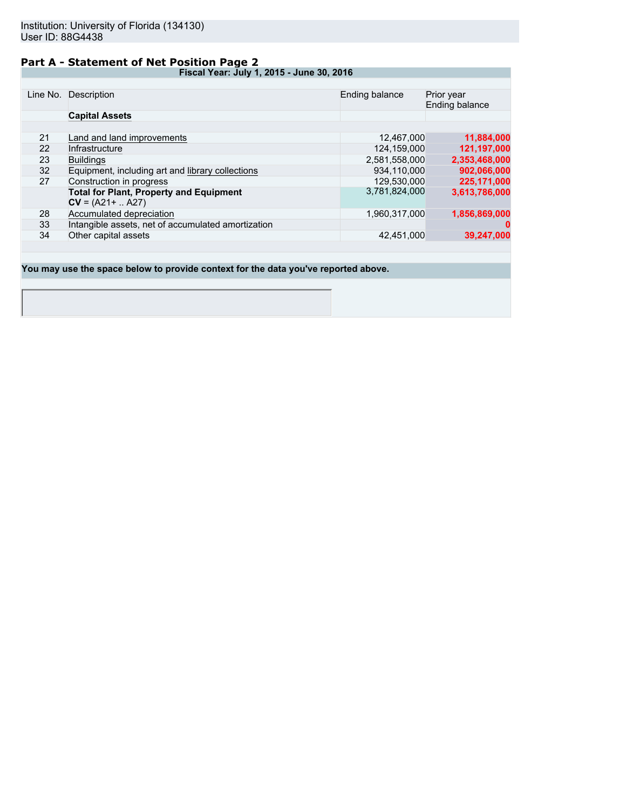## **Part A - Statement of Net Position Page 2**

**Fiscal Year: July 1, 2015 - June 30, 2016**

|    | Line No. Description                               | Ending balance | Prior year<br>Ending balance |
|----|----------------------------------------------------|----------------|------------------------------|
|    | <b>Capital Assets</b>                              |                |                              |
|    |                                                    |                |                              |
| 21 | Land and land improvements                         | 12.467.000     | 11,884,000                   |
| 22 | Infrastructure                                     | 124.159.000    | 121,197,000                  |
| 23 | <b>Buildings</b>                                   | 2,581,558,000  | 2,353,468,000                |
| 32 | Equipment, including art and library collections   | 934.110.000    | 902,066,000                  |
| 27 | Construction in progress                           | 129,530,000    | 225,171,000                  |
|    | <b>Total for Plant, Property and Equipment</b>     | 3,781,824,000  | 3,613,786,000                |
|    | $CV = (A21 +  A27)$                                |                |                              |
| 28 | Accumulated depreciation                           | 1,960,317,000  | 1,856,869,000                |
| 33 | Intangible assets, net of accumulated amortization |                |                              |
| 34 | Other capital assets                               | 42,451,000     | 39,247,000                   |
|    |                                                    |                |                              |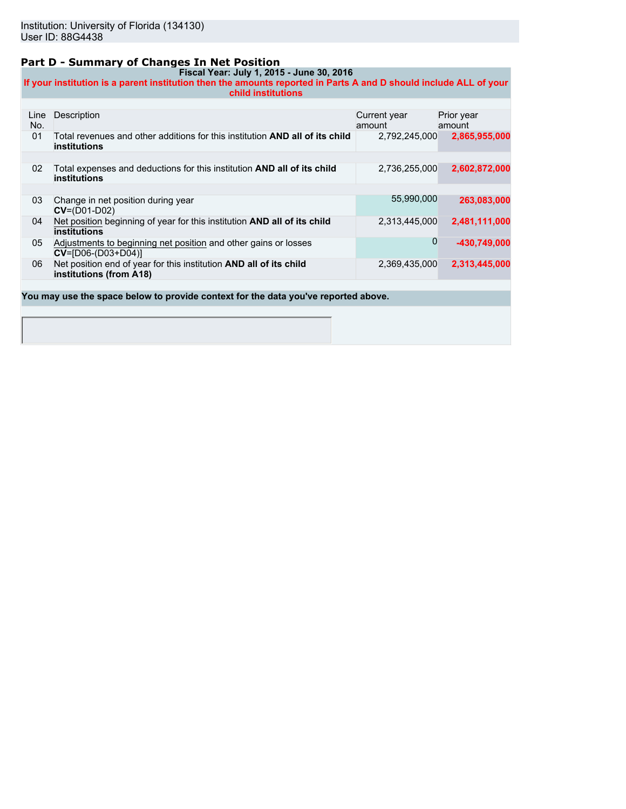### **Part D - Summary of Changes In Net Position**

**Fiscal Year: July 1, 2015 - June 30, 2016 If your institution is a parent institution then the amounts reported in Parts A and D should include ALL of your child institutions**

| Line<br>No.                                                                        | Description                                                                                                | Current year<br>amount | Prior year<br>amount |  |
|------------------------------------------------------------------------------------|------------------------------------------------------------------------------------------------------------|------------------------|----------------------|--|
| 01                                                                                 | Total revenues and other additions for this institution <b>AND all of its child</b><br><b>institutions</b> | 2,792,245,000          | 2,865,955,000        |  |
|                                                                                    |                                                                                                            |                        |                      |  |
| 02                                                                                 | Total expenses and deductions for this institution AND all of its child<br><b>institutions</b>             | 2,736,255,000          | 2,602,872,000        |  |
|                                                                                    |                                                                                                            |                        |                      |  |
| 03                                                                                 | Change in net position during year<br>$CV = (D01-D02)$                                                     | 55,990,000             | 263,083,000          |  |
| 04                                                                                 | Net position beginning of year for this institution AND all of its child<br>institutions                   | 2,313,445,000          | 2,481,111,000        |  |
| 05                                                                                 | Adjustments to beginning net position and other gains or losses<br>$CV = [D06-(D03+D04)]$                  | 0                      | -430,749,000         |  |
| 06                                                                                 | Net position end of year for this institution AND all of its child<br>institutions (from A18)              | 2,369,435,000          | 2,313,445,000        |  |
|                                                                                    |                                                                                                            |                        |                      |  |
| You may use the space below to provide context for the data you've reported above. |                                                                                                            |                        |                      |  |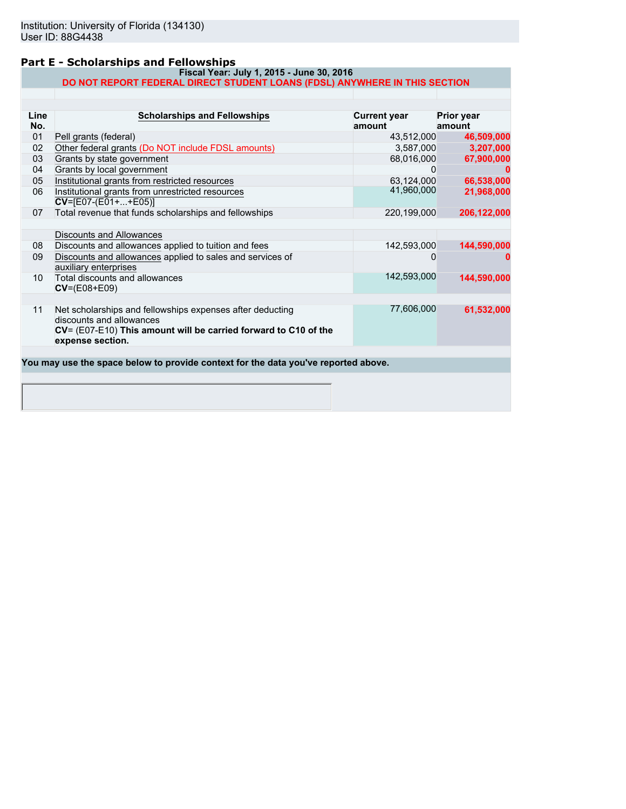### **Part E - Scholarships and Fellowships**

#### **Fiscal Year: July 1, 2015 - June 30, 2016 DO NOT REPORT FEDERAL DIRECT STUDENT LOANS (FDSL) ANYWHERE IN THIS SECTION**

| Line<br>No.     | <b>Scholarships and Fellowships</b>                                                                                                                                          | <b>Current year</b><br>amount | <b>Prior year</b><br>amount |
|-----------------|------------------------------------------------------------------------------------------------------------------------------------------------------------------------------|-------------------------------|-----------------------------|
| 01              | Pell grants (federal)                                                                                                                                                        | 43,512,000                    | 46,509,000                  |
| 02              | Other federal grants (Do NOT include FDSL amounts)                                                                                                                           | 3,587,000                     | 3,207,000                   |
| 03              | Grants by state government                                                                                                                                                   | 68,016,000                    | 67,900,000                  |
| 04              | Grants by local government                                                                                                                                                   | 0                             |                             |
| 05              | Institutional grants from restricted resources                                                                                                                               | 63,124,000                    | 66,538,000                  |
| 06              | Institutional grants from unrestricted resources<br>$CV=[E07-(E01++E05)]$                                                                                                    | 41,960,000                    | 21,968,000                  |
| 07              | Total revenue that funds scholarships and fellowships                                                                                                                        | 220,199,000                   | 206,122,000                 |
|                 | Discounts and Allowances                                                                                                                                                     |                               |                             |
| 08              | Discounts and allowances applied to tuition and fees                                                                                                                         | 142,593,000                   | 144,590,000                 |
| 09              | Discounts and allowances applied to sales and services of<br>auxiliary enterprises                                                                                           |                               |                             |
| 10 <sup>°</sup> | Total discounts and allowances<br>$CV=(E08+E09)$                                                                                                                             | 142,593,000                   | 144,590,000                 |
| 11              | Net scholarships and fellowships expenses after deducting<br>discounts and allowances<br>CV= (E07-E10) This amount will be carried forward to C10 of the<br>expense section. | 77,606,000                    | 61,532,000                  |
|                 | You may use the space below to provide context for the data you've reported above.                                                                                           |                               |                             |
|                 |                                                                                                                                                                              |                               |                             |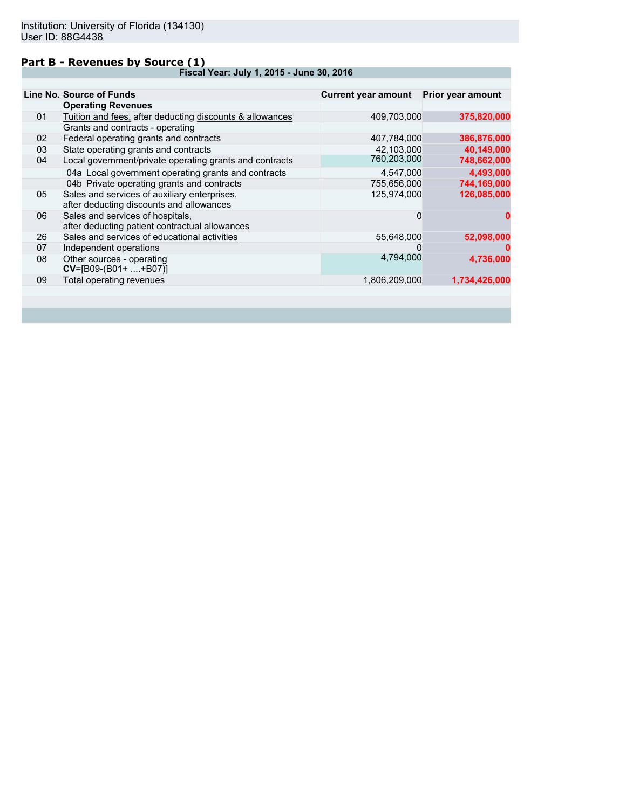### **Part B - Revenues by Source (1)**

**Fiscal Year: July 1, 2015 - June 30, 2016**

|    | Line No. Source of Funds                                                                 | Current year amount Prior year amount |               |
|----|------------------------------------------------------------------------------------------|---------------------------------------|---------------|
|    | <b>Operating Revenues</b>                                                                |                                       |               |
| 01 | Tuition and fees, after deducting discounts & allowances                                 | 409,703,000                           | 375,820,000   |
|    | Grants and contracts - operating                                                         |                                       |               |
| 02 | Federal operating grants and contracts                                                   | 407,784,000                           | 386,876,000   |
| 03 | State operating grants and contracts                                                     | 42,103,000                            | 40,149,000    |
| 04 | Local government/private operating grants and contracts                                  | 760,203,000                           | 748,662,000   |
|    | 04a Local government operating grants and contracts                                      | 4,547,000                             | 4,493,000     |
|    | 04b Private operating grants and contracts                                               | 755,656,000                           | 744,169,000   |
| 05 | Sales and services of auxiliary enterprises,<br>after deducting discounts and allowances | 125,974,000                           | 126,085,000   |
| 06 | Sales and services of hospitals,<br>after deducting patient contractual allowances       | 0                                     |               |
| 26 | Sales and services of educational activities                                             | 55,648,000                            | 52,098,000    |
| 07 | Independent operations                                                                   |                                       |               |
| 08 | Other sources - operating<br>$CV=[B09-(B01+ +B07)]$                                      | 4,794,000                             | 4,736,000     |
| 09 | Total operating revenues                                                                 | 1,806,209,000                         | 1,734,426,000 |
|    |                                                                                          |                                       |               |
|    |                                                                                          |                                       |               |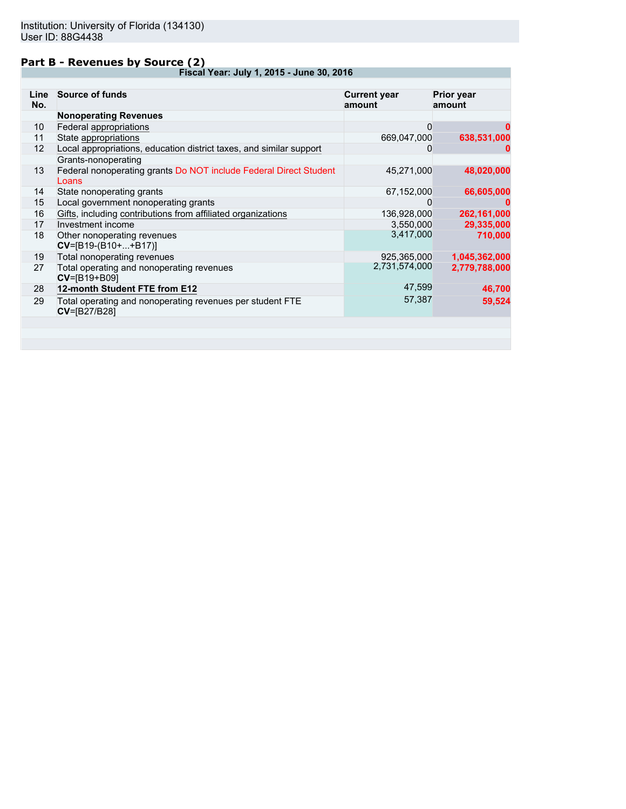### **Part B - Revenues by Source (2)**

**Fiscal Year: July 1, 2015 - June 30, 2016**

| Line<br>No. | <b>Source of funds</b>                                                           | <b>Current year</b><br>amount | Prior year<br>amount |
|-------------|----------------------------------------------------------------------------------|-------------------------------|----------------------|
|             | <b>Nonoperating Revenues</b>                                                     |                               |                      |
| 10          | Federal appropriations                                                           | 0                             | 0                    |
| 11          | State appropriations                                                             | 669,047,000                   | 638,531,000          |
| 12          | Local appropriations, education district taxes, and similar support              | 0                             | 0                    |
|             | Grants-nonoperating                                                              |                               |                      |
| 13          | Federal nonoperating grants Do NOT include Federal Direct Student<br>Loans       | 45,271,000                    | 48,020,000           |
| 14          | State nonoperating grants                                                        | 67,152,000                    | 66,605,000           |
| 15          | Local government nonoperating grants                                             | 0                             | O                    |
| 16          | Gifts, including contributions from affiliated organizations                     | 136,928,000                   | 262,161,000          |
| 17          | Investment income                                                                | 3,550,000                     | 29,335,000           |
| 18          | Other nonoperating revenues<br>$CV=[B19-(B10++B17)]$                             | 3,417,000                     | 710,000              |
| 19          | Total nonoperating revenues                                                      | 925,365,000                   | 1,045,362,000        |
| 27          | Total operating and nonoperating revenues<br>CV=[B19+B09]                        | 2,731,574,000                 | 2,779,788,000        |
| 28          | 12-month Student FTE from E12                                                    | 47,599                        | 46,700               |
| 29          | Total operating and nonoperating revenues per student FTE<br><b>CV=[B27/B28]</b> | 57,387                        | 59,524               |
|             |                                                                                  |                               |                      |
|             |                                                                                  |                               |                      |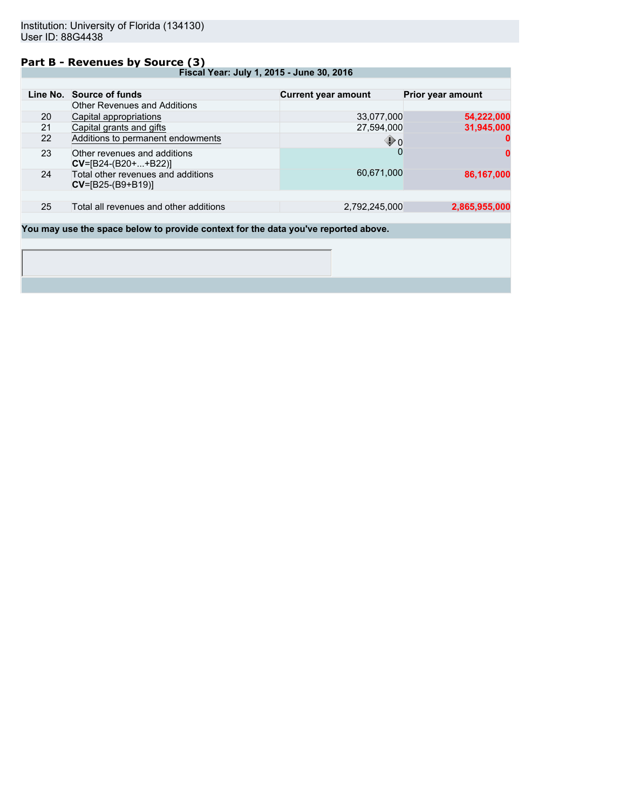#### **Part B - Revenues by Source (3)**

**Fiscal Year: July 1, 2015 - June 30, 2016**

|    | Line No. Source of funds                                  | <b>Current year amount</b> | Prior year amount |
|----|-----------------------------------------------------------|----------------------------|-------------------|
|    | <b>Other Revenues and Additions</b>                       |                            |                   |
| 20 | Capital appropriations                                    | 33,077,000                 | 54,222,000        |
| 21 | Capital grants and gifts                                  | 27,594,000                 | 31,945,000        |
| 22 | Additions to permanent endowments                         | $\mathbf{\Phi}$ 0          | 0                 |
| 23 | Other revenues and additions<br>$CV=[B24-(B20++B22)]$     |                            | 0                 |
| 24 | Total other revenues and additions<br>$CV=[B25-(B9+B19)]$ | 60,671,000                 | 86,167,000        |
|    |                                                           |                            |                   |
| 25 | Total all revenues and other additions                    | 2,792,245,000              | 2,865,955,000     |
|    |                                                           |                            |                   |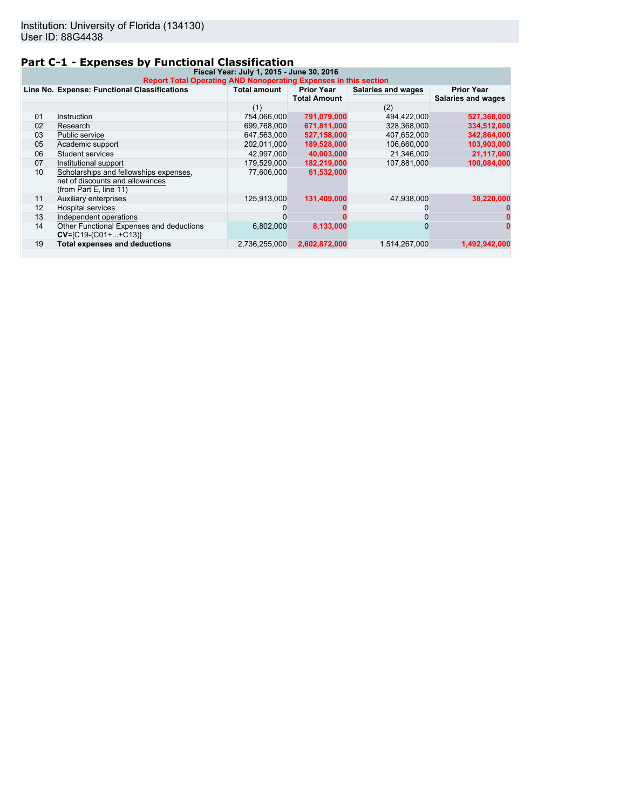## **Part C-1 - Expenses by Functional Classification**

| Fiscal Year: July 1, 2015 - June 30, 2016<br>Report Total Operating AND Nonoperating Expenses in this section |                                                                                                     |                     |                                          |                           |                                                |  |
|---------------------------------------------------------------------------------------------------------------|-----------------------------------------------------------------------------------------------------|---------------------|------------------------------------------|---------------------------|------------------------------------------------|--|
|                                                                                                               | Line No. Expense: Functional Classifications                                                        | <b>Total amount</b> | <b>Prior Year</b><br><b>Total Amount</b> | <b>Salaries and wages</b> | <b>Prior Year</b><br><b>Salaries and wages</b> |  |
|                                                                                                               |                                                                                                     | (1)                 |                                          | (2)                       |                                                |  |
| 01                                                                                                            | Instruction                                                                                         | 754,066,000         | 791,079,000                              | 494,422,000               | 527,368,000                                    |  |
| 02                                                                                                            | Research                                                                                            | 699,768,000         | 671,811,000                              | 328,368,000               | 334,512,000                                    |  |
| 03                                                                                                            | Public service                                                                                      | 647,563,000         | 527,158,000                              | 407,652,000               | 342,864,000                                    |  |
| 05                                                                                                            | Academic support                                                                                    | 202,011,000         | 189,528,000                              | 106,660,000               | 103,903,000                                    |  |
| 06                                                                                                            | Student services                                                                                    | 42,997,000          | 40,003,000                               | 21,346,000                | 21,117,000                                     |  |
| 07                                                                                                            | Institutional support                                                                               | 179,529,000         | 182,219,000                              | 107,881,000               | 100,084,000                                    |  |
| 10                                                                                                            | Scholarships and fellowships expenses.<br>net of discounts and allowances<br>(from Part E, line 11) | 77,606,000          | 61,532,000                               |                           |                                                |  |
| 11                                                                                                            | Auxiliary enterprises                                                                               | 125,913,000         | 131,409,000                              | 47,938,000                | 38,220,000                                     |  |
| 12                                                                                                            | <b>Hospital services</b>                                                                            |                     |                                          |                           |                                                |  |
| 13                                                                                                            | Independent operations                                                                              |                     |                                          |                           |                                                |  |
| 14                                                                                                            | Other Functional Expenses and deductions<br>$CV=[C19-(C01++C13)]$                                   | 6,802,000           | 8,133,000                                |                           |                                                |  |
| 19                                                                                                            | <b>Total expenses and deductions</b>                                                                | 2,736,255,000       | 2,602,872,000                            | 1,514,267,000             | 1,492,942,000                                  |  |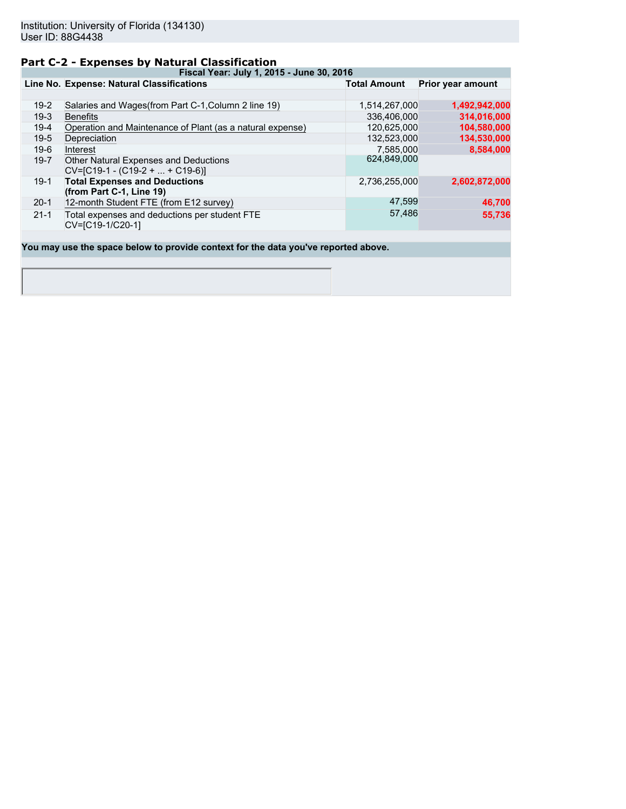## **Part C-2 - Expenses by Natural Classification**

**Fiscal Year: July 1, 2015 - June 30, 2016**

|          | Line No. Expense: Natural Classifications                                  | <b>Total Amount</b> | <b>Prior year amount</b> |
|----------|----------------------------------------------------------------------------|---------------------|--------------------------|
|          |                                                                            |                     |                          |
| $19-2$   | Salaries and Wages (from Part C-1, Column 2 line 19)                       | 1,514,267,000       | 1,492,942,000            |
| $19-3$   | <b>Benefits</b>                                                            | 336.406.000         | 314,016,000              |
| $19-4$   | Operation and Maintenance of Plant (as a natural expense)                  | 120,625,000         | 104,580,000              |
| $19-5$   | Depreciation                                                               | 132,523,000         | 134,530,000              |
| $19-6$   | Interest                                                                   | 7.585.000           | 8,584,000                |
| $19 - 7$ | Other Natural Expenses and Deductions<br>$CV=[C19-1 - (C19-2 +  + C19-6)]$ | 624,849,000         |                          |
| $19-1$   | <b>Total Expenses and Deductions</b><br>(from Part C-1, Line 19)           | 2,736,255,000       | 2,602,872,000            |
| $20-1$   | 12-month Student FTE (from E12 survey)                                     | 47,599              | 46,700                   |
| $21 - 1$ | Total expenses and deductions per student FTE<br>CV=[C19-1/C20-1]          | 57,486              | 55,736                   |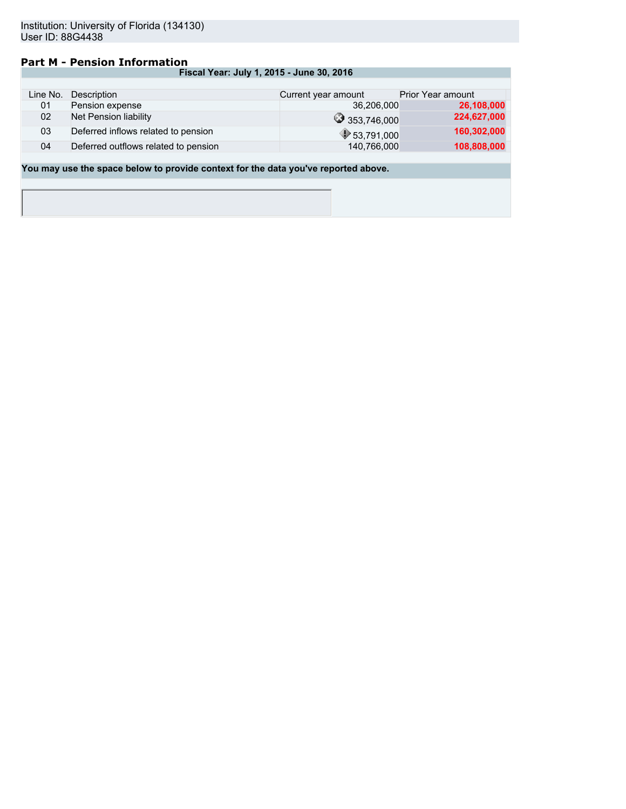## **Part M - Pension Information**

| Fiscal Year: July 1, 2015 - June 30, 2016 |  |
|-------------------------------------------|--|
|-------------------------------------------|--|

| Line No. | Description                          | Current year amount | <b>Prior Year amount</b> |
|----------|--------------------------------------|---------------------|--------------------------|
| 01       | Pension expense                      | 36,206,000          | 26,108,000               |
| 02       | Net Pension liability                | 353,746,000         | 224,627,000              |
| 03       | Deferred inflows related to pension  | 953,791,000         | 160,302,000              |
| 04       | Deferred outflows related to pension | 140,766,000         | 108,808,000              |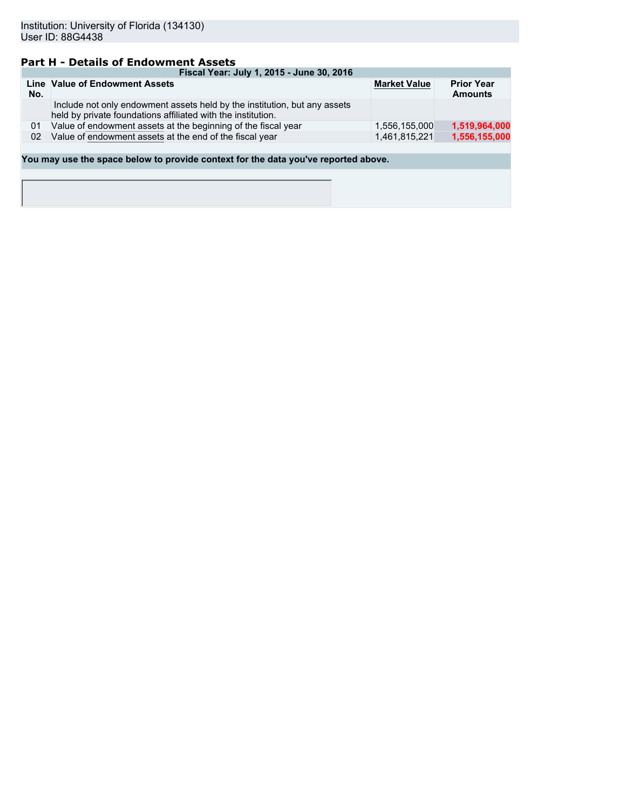## **Part H - Details of Endowment Assets**

|     | Fiscal Year: July 1, 2015 - June 30, 2016                                                                                                 |                     |                                     |  |  |  |  |
|-----|-------------------------------------------------------------------------------------------------------------------------------------------|---------------------|-------------------------------------|--|--|--|--|
| No. | Line Value of Endowment Assets                                                                                                            | <b>Market Value</b> | <b>Prior Year</b><br><b>Amounts</b> |  |  |  |  |
|     | Include not only endowment assets held by the institution, but any assets<br>held by private foundations affiliated with the institution. |                     |                                     |  |  |  |  |
| 01  | Value of endowment assets at the beginning of the fiscal year                                                                             | 1.556.155.000       | 1,519,964,000                       |  |  |  |  |
| 02  | Value of endowment assets at the end of the fiscal year                                                                                   | 1.461.815.221       | 1,556,155,000                       |  |  |  |  |
|     |                                                                                                                                           |                     |                                     |  |  |  |  |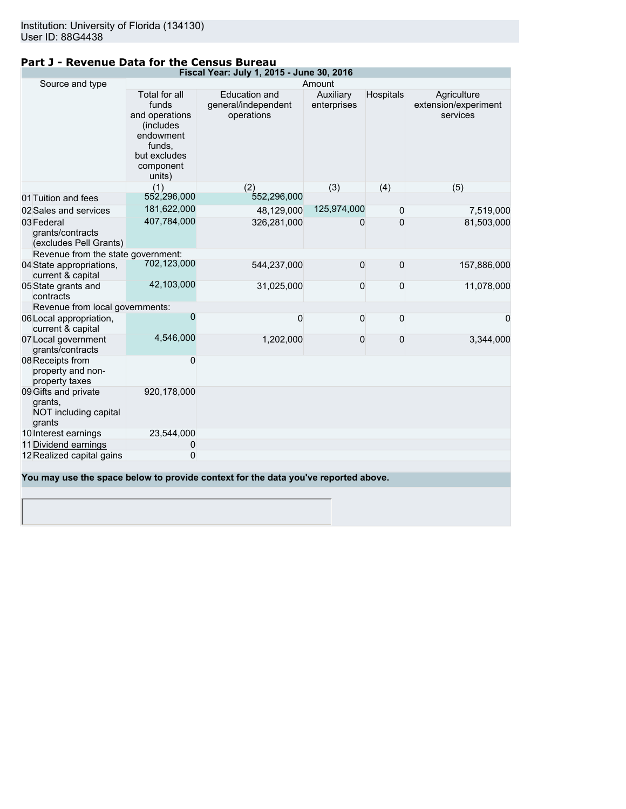## **Part J - Revenue Data for the Census Bureau**

|                                                                    |                                                                                                                     | Fiscal Year: July 1, 2015 - June 30, 2016          |                          |           |                                                 |
|--------------------------------------------------------------------|---------------------------------------------------------------------------------------------------------------------|----------------------------------------------------|--------------------------|-----------|-------------------------------------------------|
| Source and type                                                    |                                                                                                                     |                                                    | Amount                   |           |                                                 |
|                                                                    | Total for all<br>funds<br>and operations<br>(includes<br>endowment<br>funds,<br>but excludes<br>component<br>units) | Education and<br>general/independent<br>operations | Auxiliary<br>enterprises | Hospitals | Agriculture<br>extension/experiment<br>services |
|                                                                    | (1)                                                                                                                 | (2)                                                | (3)                      | (4)       | (5)                                             |
| 01 Tuition and fees                                                | 552,296,000                                                                                                         | 552,296,000                                        |                          |           |                                                 |
| 02 Sales and services                                              | 181,622,000                                                                                                         | 48,129,000                                         | 125,974,000              | 0         | 7,519,000                                       |
| 03 Federal<br>grants/contracts<br>(excludes Pell Grants)           | 407,784,000                                                                                                         | 326,281,000                                        | 0                        | 0         | 81,503,000                                      |
| Revenue from the state government:                                 |                                                                                                                     |                                                    |                          |           |                                                 |
| 04 State appropriations,<br>current & capital                      | 702,123,000                                                                                                         | 544,237,000                                        | 0                        | 0         | 157,886,000                                     |
| 05 State grants and<br>contracts                                   | 42,103,000                                                                                                          | 31,025,000                                         | 0                        | 0         | 11,078,000                                      |
| Revenue from local governments:                                    |                                                                                                                     |                                                    |                          |           |                                                 |
| 06 Local appropriation,<br>current & capital                       | 0                                                                                                                   | 0                                                  | 0                        | 0         | 0                                               |
| 07 Local government<br>grants/contracts                            | 4,546,000                                                                                                           | 1,202,000                                          | 0                        | 0         | 3,344,000                                       |
| 08 Receipts from<br>property and non-<br>property taxes            | 0                                                                                                                   |                                                    |                          |           |                                                 |
| 09 Gifts and private<br>grants.<br>NOT including capital<br>grants | 920,178,000                                                                                                         |                                                    |                          |           |                                                 |
| 10 Interest earnings                                               | 23,544,000                                                                                                          |                                                    |                          |           |                                                 |
| 11 Dividend earnings                                               | 0                                                                                                                   |                                                    |                          |           |                                                 |
| 12 Realized capital gains                                          | 0                                                                                                                   |                                                    |                          |           |                                                 |
|                                                                    |                                                                                                                     |                                                    |                          |           |                                                 |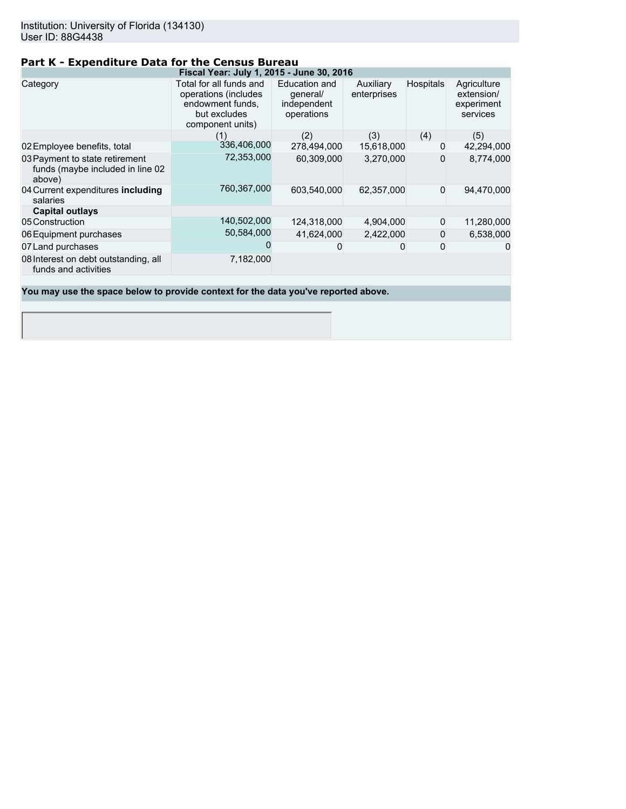## **Part K - Expenditure Data for the Census Bureau**

|                                                                              | Fiscal Year: July 1, 2015 - June 30, 2016                                                               |                                                        |                          |                  |                                                     |
|------------------------------------------------------------------------------|---------------------------------------------------------------------------------------------------------|--------------------------------------------------------|--------------------------|------------------|-----------------------------------------------------|
| Category                                                                     | Total for all funds and<br>operations (includes<br>endowment funds,<br>but excludes<br>component units) | Education and<br>qeneral/<br>independent<br>operations | Auxiliary<br>enterprises | <b>Hospitals</b> | Agriculture<br>extension/<br>experiment<br>services |
|                                                                              | (1)                                                                                                     | (2)                                                    | (3)                      | (4)              | (5)                                                 |
| 02 Employee benefits, total                                                  | 336,406,000                                                                                             | 278,494,000                                            | 15,618,000               | 0                | 42,294,000                                          |
| 03 Payment to state retirement<br>funds (maybe included in line 02<br>above) | 72,353,000                                                                                              | 60,309,000                                             | 3,270,000                | 0                | 8,774,000                                           |
| 04 Current expenditures including<br>salaries                                | 760,367,000                                                                                             | 603,540,000                                            | 62,357,000               | $\Omega$         | 94,470,000                                          |
| <b>Capital outlays</b>                                                       |                                                                                                         |                                                        |                          |                  |                                                     |
| 05 Construction                                                              | 140,502,000                                                                                             | 124,318,000                                            | 4,904,000                | $\mathbf 0$      | 11,280,000                                          |
| 06 Equipment purchases                                                       | 50,584,000                                                                                              | 41.624.000                                             | 2.422.000                | $\mathbf{0}$     | 6,538,000                                           |
| 07 Land purchases                                                            |                                                                                                         |                                                        | 0                        | 0                | 0                                                   |
| 08 Interest on debt outstanding, all<br>funds and activities                 | 7,182,000                                                                                               |                                                        |                          |                  |                                                     |
|                                                                              |                                                                                                         |                                                        |                          |                  |                                                     |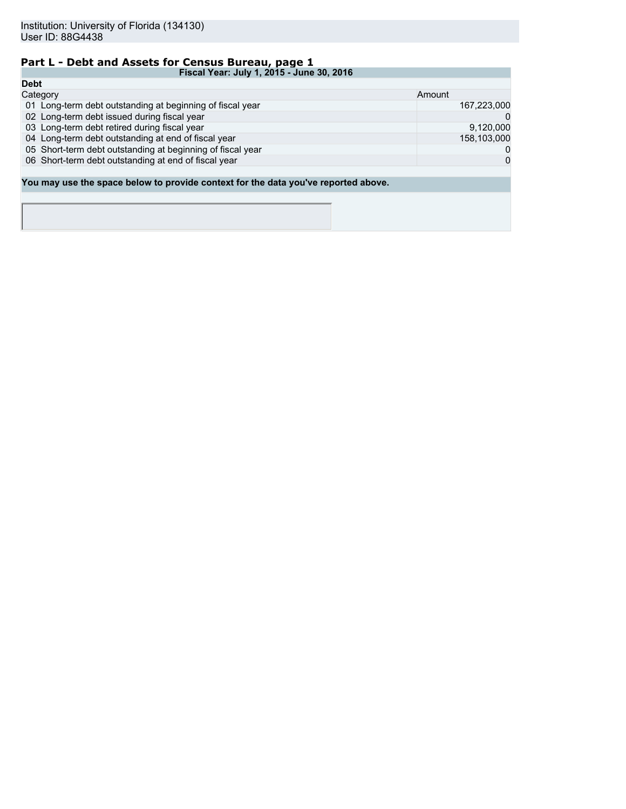# **Part L - Debt and Assets for Census Bureau, page 1**

| Fiscal Year: July 1, 2015 - June 30, 2016                                          |              |
|------------------------------------------------------------------------------------|--------------|
| <b>Debt</b>                                                                        |              |
| Category                                                                           | Amount       |
| 01 Long-term debt outstanding at beginning of fiscal year                          | 167,223,000  |
| 02 Long-term debt issued during fiscal year                                        | $\Omega$     |
| 03 Long-term debt retired during fiscal year                                       | 9,120,000    |
| 04 Long-term debt outstanding at end of fiscal year                                | 158,103,000  |
| 05 Short-term debt outstanding at beginning of fiscal year                         | 0            |
| 06 Short-term debt outstanding at end of fiscal year                               | $\mathbf{0}$ |
|                                                                                    |              |
| You may use the space below to provide context for the data you've reported above. |              |
|                                                                                    |              |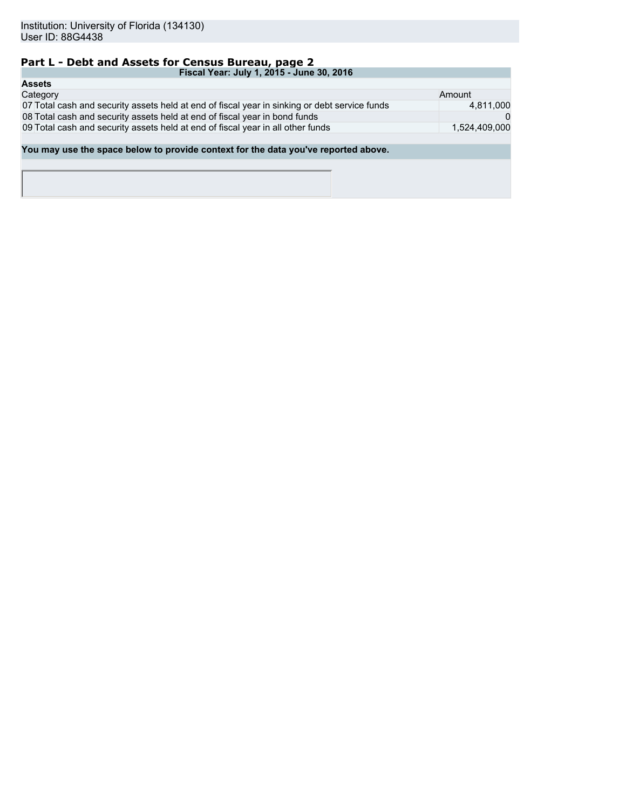# **Part L - Debt and Assets for Census Bureau, page 2**

| Fiscal Year: July 1, 2015 - June 30, 2016                                                     |               |
|-----------------------------------------------------------------------------------------------|---------------|
| <b>Assets</b>                                                                                 |               |
| Category                                                                                      | Amount        |
| 07 Total cash and security assets held at end of fiscal year in sinking or debt service funds | 4,811,000     |
| 08 Total cash and security assets held at end of fiscal year in bond funds                    |               |
| 09 Total cash and security assets held at end of fiscal year in all other funds               | 1.524.409.000 |
|                                                                                               |               |
| You may use the space below to provide context for the data you've reported above.            |               |
|                                                                                               |               |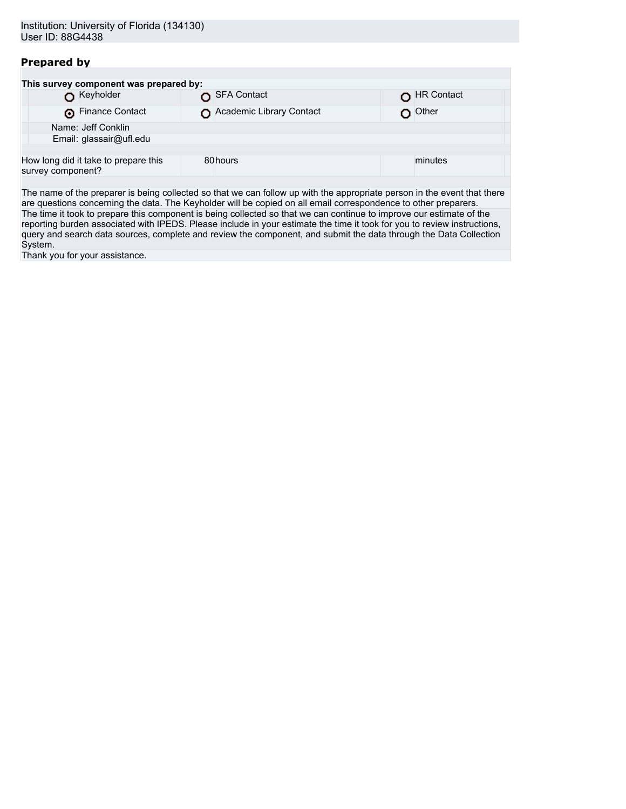## **Prepared by**

| This survey component was prepared by: |                                      |  |                          |  |            |
|----------------------------------------|--------------------------------------|--|--------------------------|--|------------|
|                                        | Keyholder                            |  | SFA Contact              |  | HR Contact |
|                                        | Finance Contact                      |  | Academic Library Contact |  | Other      |
|                                        | Name: Jeff Conklin                   |  |                          |  |            |
| Email: glassair@ufl.edu                |                                      |  |                          |  |            |
|                                        |                                      |  |                          |  |            |
| survey component?                      | How long did it take to prepare this |  | 80hours                  |  | minutes    |
|                                        |                                      |  |                          |  |            |

The name of the preparer is being collected so that we can follow up with the appropriate person in the event that there are questions concerning the data. The Keyholder will be copied on all email correspondence to other preparers. The time it took to prepare this component is being collected so that we can continue to improve our estimate of the reporting burden associated with IPEDS. Please include in your estimate the time it took for you to review instructions, query and search data sources, complete and review the component, and submit the data through the Data Collection System.

Thank you for your assistance.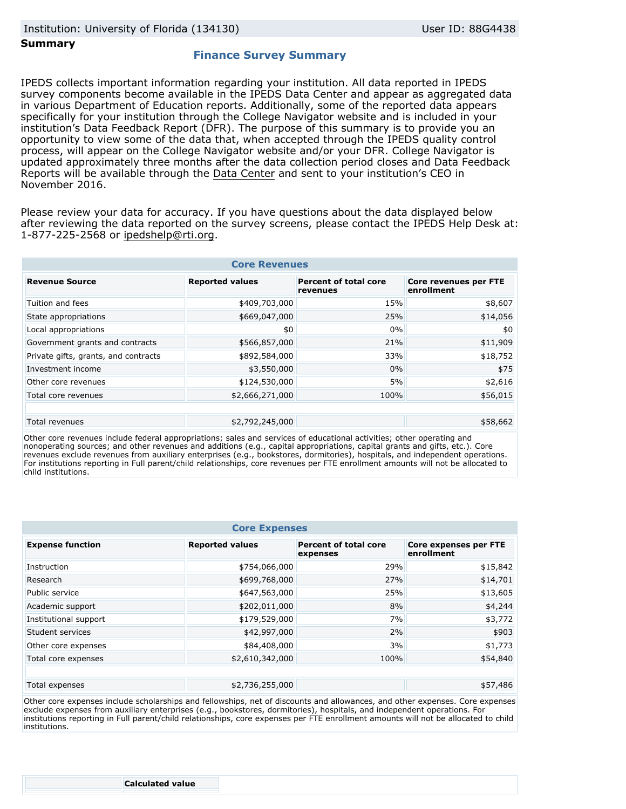#### **Summary**

#### **Finance Survey Summary**

IPEDS collects important information regarding your institution. All data reported in IPEDS survey components become available in the IPEDS Data Center and appear as aggregated data in various Department of Education reports. Additionally, some of the reported data appears specifically for your institution through the College Navigator website and is included in your institution's Data Feedback Report (DFR). The purpose of this summary is to provide you an opportunity to view some of the data that, when accepted through the IPEDS quality control process, will appear on the College Navigator website and/or your DFR. College Navigator is updated approximately three months after the data collection period closes and Data Feedback Reports will be available through the [Data Center](http://nces.ed.gov/ipeds/datacenter/) and sent to your institution's CEO in November 2016.

Please review your data for accuracy. If you have questions about the data displayed below after reviewing the data reported on the survey screens, please contact the IPEDS Help Desk at: 1-877-225-2568 or ipedshelp@rti.org.

| <b>Core Revenues</b>                 |                        |                                          |                                     |  |  |
|--------------------------------------|------------------------|------------------------------------------|-------------------------------------|--|--|
| <b>Revenue Source</b>                | <b>Reported values</b> | <b>Percent of total core</b><br>revenues | Core revenues per FTE<br>enrollment |  |  |
| Tuition and fees                     | \$409,703,000          | 15%                                      | \$8,607                             |  |  |
| State appropriations                 | \$669,047,000          | 25%                                      | \$14,056                            |  |  |
| Local appropriations                 | \$0                    | 0%                                       | \$0                                 |  |  |
| Government grants and contracts      | \$566,857,000          | 21%                                      | \$11,909                            |  |  |
| Private gifts, grants, and contracts | \$892,584,000          | 33%                                      | \$18,752                            |  |  |
| Investment income                    | \$3,550,000            | 0%                                       | \$75                                |  |  |
| Other core revenues                  | \$124,530,000          | 5%                                       | \$2,616                             |  |  |
| Total core revenues                  | \$2,666,271,000        | 100%                                     | \$56,015                            |  |  |
|                                      |                        |                                          |                                     |  |  |
| Total revenues                       | \$2,792,245,000        |                                          | \$58,662                            |  |  |

Other core revenues include federal appropriations; sales and services of educational activities; other operating and nonoperating sources; and other revenues and additions (e.g., capital appropriations, capital grants and gifts, etc.). Core revenues exclude revenues from auxiliary enterprises (e.g., bookstores, dormitories), hospitals, and independent operations. For institutions reporting in Full parent/child relationships, core revenues per FTE enrollment amounts will not be allocated to child institutions.

| <b>Core Expenses</b>    |                        |                                          |                                     |  |
|-------------------------|------------------------|------------------------------------------|-------------------------------------|--|
| <b>Expense function</b> | <b>Reported values</b> | <b>Percent of total core</b><br>expenses | Core expenses per FTE<br>enrollment |  |
| Instruction             | \$754,066,000          | 29%                                      | \$15,842                            |  |
| Research                | \$699,768,000          | 27%                                      | \$14,701                            |  |
| Public service          | \$647,563,000          | 25%                                      | \$13,605                            |  |
| Academic support        | \$202,011,000          | 8%                                       | \$4,244                             |  |
| Institutional support   | \$179,529,000          | 7%                                       | \$3,772                             |  |
| Student services        | \$42,997,000           | 2%                                       | \$903                               |  |
| Other core expenses     | \$84,408,000           | 3%                                       | \$1,773                             |  |
| Total core expenses     | \$2,610,342,000        | 100%                                     | \$54,840                            |  |
|                         |                        |                                          |                                     |  |
| Total expenses          | \$2,736,255,000        |                                          | \$57,486                            |  |

Other core expenses include scholarships and fellowships, net of discounts and allowances, and other expenses. Core expenses exclude expenses from auxiliary enterprises (e.g., bookstores, dormitories), hospitals, and independent operations. For institutions reporting in Full parent/child relationships, core expenses per FTE enrollment amounts will not be allocated to child institutions.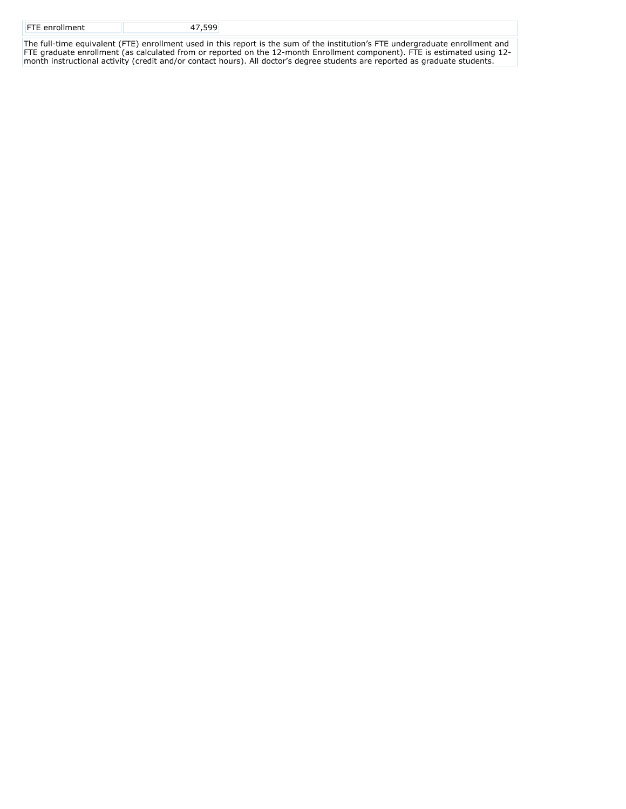| <b>FTE</b> enrollment | 47.599 |  |
|-----------------------|--------|--|
|                       |        |  |

The full-time equivalent (FTE) enrollment used in this report is the sum of the institution's FTE undergraduate enrollment and FTE graduate enrollment (as calculated from or reported on the 12-month Enrollment component). FTE is estimated using 12 month instructional activity (credit and/or contact hours). All doctor's degree students are reported as graduate students.